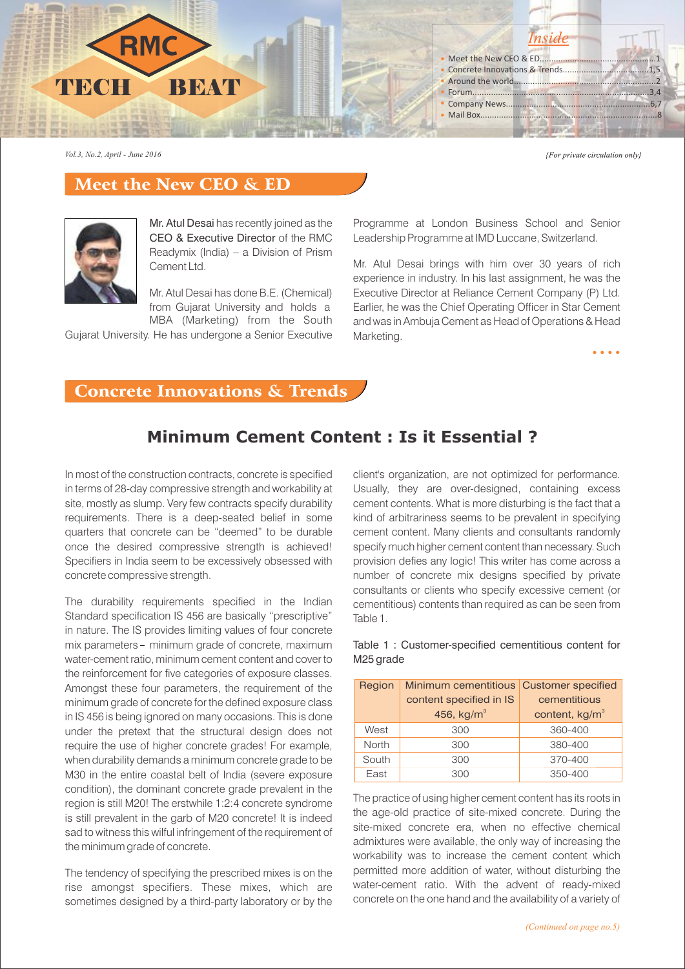

*Vol.3, No.2, April - June 2016*

{For private circulation only}

 $\bullet$   $\bullet$   $\bullet$   $\bullet$ 

## Meet the New CEO & ED



Mr. Atul Desai has recently joined as the CEO & Executive Director of the RMC Readymix (India) – a Division of Prism Cement Ltd.

Mr. Atul Desai has done B.E. (Chemical) from Gujarat University and holds a MBA (Marketing) from the South

Gujarat University. He has undergone a Senior Executive

Programme at London Business School and Senior Leadership Programme at IMD Luccane, Switzerland.

Mr. Atul Desai brings with him over 30 years of rich experience in industry. In his last assignment, he was the Executive Director at Reliance Cement Company (P) Ltd. Earlier, he was the Chief Operating Officer in Star Cement and was in Ambuja Cement as Head of Operations & Head Marketing.

#### Concrete Innovations & Trends

# **Minimum Cement Content : Is it Essential ?**

In most of the construction contracts, concrete is specified in terms of 28-day compressive strength and workability at site, mostly as slump. Very few contracts specify durability requirements. There is a deep-seated belief in some quarters that concrete can be "deemed" to be durable once the desired compressive strength is achieved! Specifiers in India seem to be excessively obsessed with concrete compressive strength.

The durability requirements specified in the Indian Standard specification IS 456 are basically "prescriptive" in nature. The IS provides limiting values of four concrete mix parameters - minimum grade of concrete, maximum water-cement ratio, minimum cement content and cover to the reinforcement for five categories of exposure classes. Amongst these four parameters, the requirement of the minimum grade of concrete for the defined exposure class in IS 456 is being ignored on many occasions. This is done under the pretext that the structural design does not require the use of higher concrete grades! For example, when durability demands a minimum concrete grade to be M30 in the entire coastal belt of India (severe exposure condition), the dominant concrete grade prevalent in the region is still M20! The erstwhile 1:2:4 concrete syndrome is still prevalent in the garb of M20 concrete! It is indeed sad to witness this wilful infringement of the requirement of the minimum grade of concrete.

The tendency of specifying the prescribed mixes is on the rise amongst specifiers. These mixes, which are sometimes designed by a third-party laboratory or by the

client's organization, are not optimized for performance. Usually, they are over-designed, containing excess cement contents. What is more disturbing is the fact that a kind of arbitrariness seems to be prevalent in specifying cement content. Many clients and consultants randomly specify much higher cement content than necessary. Such provision defies any logic! This writer has come across a number of concrete mix designs specified by private consultants or clients who specify excessive cement (or cementitious) contents than required as can be seen from Table 1.

Table 1 : Customer-specified cementitious content for M25 grade

| Region | Minimum cementitious Customer specified |                            |
|--------|-----------------------------------------|----------------------------|
|        | content specified in IS                 | cementitious               |
|        | 456, $kg/m3$                            | content, kg/m <sup>3</sup> |
| West   | 300                                     | 360-400                    |
| North  | 300                                     | 380-400                    |
| South  | 300                                     | 370-400                    |
| East   | 300                                     | 350-400                    |

The practice of using higher cement content has its roots in the age-old practice of site-mixed concrete. During the site-mixed concrete era, when no effective chemical admixtures were available, the only way of increasing the workability was to increase the cement content which permitted more addition of water, without disturbing the water-cement ratio. With the advent of ready-mixed concrete on the one hand and the availability of a variety of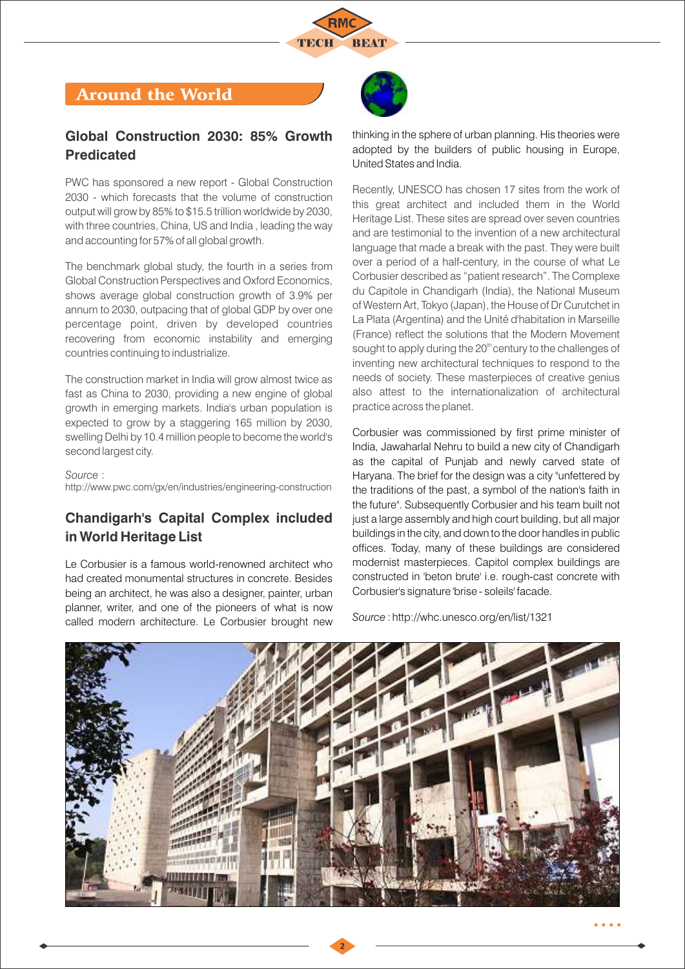

## Around the World

#### **Global Construction 2030: 85% Growth Predicated**

PWC has sponsored a new report - Global Construction 2030 - which forecasts that the volume of construction output will grow by 85% to \$15.5 trillion worldwide by 2030, with three countries, China, US and India , leading the way and accounting for 57% of all global growth.

The benchmark global study, the fourth in a series from Global Construction Perspectives and Oxford Economics, shows average global construction growth of 3.9% per annum to 2030, outpacing that of global GDP by over one percentage point, driven by developed countries recovering from economic instability and emerging countries continuing to industrialize.

The construction market in India will grow almost twice as fast as China to 2030, providing a new engine of global growth in emerging markets. India's urban population is expected to grow by a staggering 165 million by 2030, swelling Delhi by 10.4 million people to become the world's second largest city.

*Source* :

http://www.pwc.com/gx/en/industries/engineering-construction

## **Chandigarh's Capital Complex included in World Heritage List**

Le Corbusier is a famous world-renowned architect who had created monumental structures in concrete. Besides being an architect, he was also a designer, painter, urban planner, writer, and one of the pioneers of what is now called modern architecture. Le Corbusier brought new

thinking in the sphere of urban planning. His theories were adopted by the builders of public housing in Europe, United States and India.

Recently, UNESCO has chosen 17 sites from the work of this great architect and included them in the World Heritage List. These sites are spread over seven countries and are testimonial to the invention of a new architectural language that made a break with the past. They were built over a period of a half-century, in the course of what Le Corbusier described as "patient research". The Complexe du Capitole in Chandigarh (India), the National Museum of Western Art, Tokyo (Japan), the House of Dr Curutchet in La Plata (Argentina) and the Unité d'habitation in Marseille (France) reflect the solutions that the Modern Movement sought to apply during the 20<sup>th</sup> century to the challenges of inventing new architectural techniques to respond to the needs of society. These masterpieces of creative genius also attest to the internationalization of architectural practice across the planet.

Corbusier was commissioned by first prime minister of India, Jawaharlal Nehru to build a new city of Chandigarh as the capital of Punjab and newly carved state of Haryana. The brief for the design was a city "unfettered by the traditions of the past, a symbol of the nation's faith in the future". Subsequently Corbusier and his team built not just a large assembly and high court building, but all major buildings in the city, and down to the door handles in public offices. Today, many of these buildings are considered modernist masterpieces. Capitol complex buildings are constructed in 'beton brute' i.e. rough-cast concrete with Corbusier's signature 'brise - soleils' facade.

*Source* : http://whc.unesco.org/en/list/1321

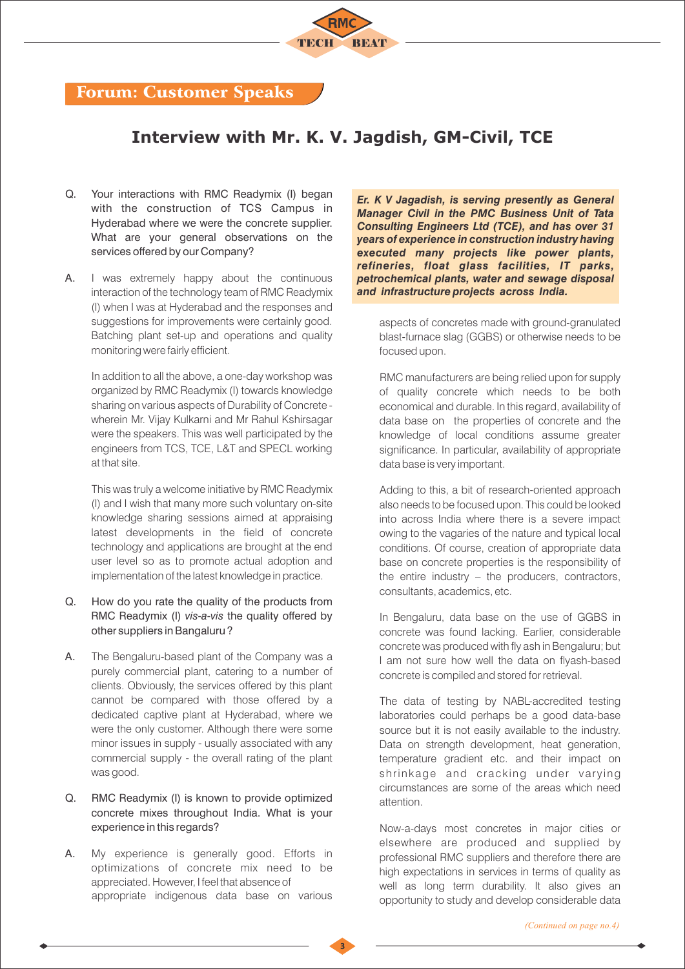

## Forum: Customer Speaks

## **Interview with Mr. K. V. Jagdish, GM-Civil, TCE**

- Q. Your interactions with RMC Readymix (I) began with the construction of TCS Campus in Hyderabad where we were the concrete supplier. What are your general observations on the services offered by our Company?
- A. I was extremely happy about the continuous interaction of the technology team of RMC Readymix (I) when I was at Hyderabad and the responses and suggestions for improvements were certainly good. Batching plant set-up and operations and quality monitoring were fairly efficient.

In addition to all the above, a one-day workshop was organized by RMC Readymix (I) towards knowledge sharing on various aspects of Durability of Concrete wherein Mr. Vijay Kulkarni and Mr Rahul Kshirsagar were the speakers. This was well participated by the engineers from TCS, TCE, L&T and SPECL working at that site.

This was truly a welcome initiative by RMC Readymix (I) and I wish that many more such voluntary on-site knowledge sharing sessions aimed at appraising latest developments in the field of concrete technology and applications are brought at the end user level so as to promote actual adoption and implementation of the latest knowledge in practice.

- Q. How do you rate the quality of the products from RMC Readymix (I) *vis-a-vis* the quality offered by other suppliers in Bangaluru ?
- A. The Bengaluru-based plant of the Company was a purely commercial plant, catering to a number of clients. Obviously, the services offered by this plant cannot be compared with those offered by a dedicated captive plant at Hyderabad, where we were the only customer. Although there were some minor issues in supply - usually associated with any commercial supply - the overall rating of the plant was good.
- Q. RMC Readymix (I) is known to provide optimized concrete mixes throughout India. What is your experience in this regards?
- A. My experience is generally good. Efforts in optimizations of concrete mix need to be appreciated. However, I feel that absence of appropriate indigenous data base on various

*Er. K V Jagadish, is serving presently as General Manager Civil in the PMC Business Unit of Tata Consulting Engineers Ltd (TCE), and has over 31 years of experience in construction industry having executed many projects like power plants, refineries, float glass facilities, IT parks, petrochemical plants, water and sewage disposal and infrastructure projects across India.* 

aspects of concretes made with ground-granulated blast-furnace slag (GGBS) or otherwise needs to be focused upon.

RMC manufacturers are being relied upon for supply of quality concrete which needs to be both economical and durable. In this regard, availability of data base on the properties of concrete and the knowledge of local conditions assume greater significance. In particular, availability of appropriate data base is very important.

Adding to this, a bit of research-oriented approach also needs to be focused upon. This could be looked into across India where there is a severe impact owing to the vagaries of the nature and typical local conditions. Of course, creation of appropriate data base on concrete properties is the responsibility of the entire industry – the producers, contractors, consultants, academics, etc.

In Bengaluru, data base on the use of GGBS in concrete was found lacking. Earlier, considerable concrete was produced with fly ash in Bengaluru; but I am not sure how well the data on flyash-based concrete is compiled and stored for retrieval.

The data of testing by NABL-accredited testing laboratories could perhaps be a good data-base source but it is not easily available to the industry. Data on strength development, heat generation, temperature gradient etc. and their impact on shrinkage and cracking under varying circumstances are some of the areas which need attention.

Now-a-days most concretes in major cities or elsewhere are produced and supplied by professional RMC suppliers and therefore there are high expectations in services in terms of quality as well as long term durability. It also gives an opportunity to study and develop considerable data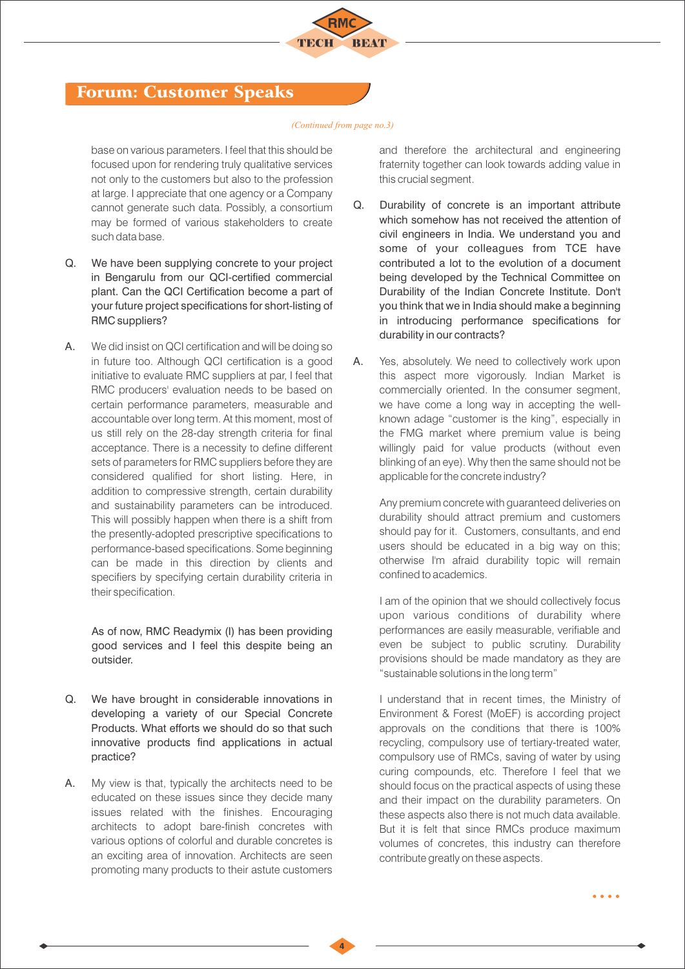

## Forum: Customer Speaks

#### *(Continued from page no.3)*

base on various parameters. I feel that this should be focused upon for rendering truly qualitative services not only to the customers but also to the profession at large. I appreciate that one agency or a Company cannot generate such data. Possibly, a consortium may be formed of various stakeholders to create such data base.

- Q. We have been supplying concrete to your project in Bengarulu from our QCI-certified commercial plant. Can the QCI Certification become a part of your future project specifications for short-listing of RMC suppliers?
- A. We did insist on QCI certification and will be doing so in future too. Although QCI certification is a good initiative to evaluate RMC suppliers at par, I feel that RMC producers' evaluation needs to be based on certain performance parameters, measurable and accountable over long term. At this moment, most of us still rely on the 28-day strength criteria for final acceptance. There is a necessity to define different sets of parameters for RMC suppliers before they are considered qualified for short listing. Here, in addition to compressive strength, certain durability and sustainability parameters can be introduced. This will possibly happen when there is a shift from the presently-adopted prescriptive specifications to performance-based specifications. Some beginning can be made in this direction by clients and specifiers by specifying certain durability criteria in their specification.

As of now, RMC Readymix (I) has been providing good services and I feel this despite being an outsider.

- Q. We have brought in considerable innovations in developing a variety of our Special Concrete Products. What efforts we should do so that such innovative products find applications in actual practice?
- A. My view is that, typically the architects need to be educated on these issues since they decide many issues related with the finishes. Encouraging architects to adopt bare-finish concretes with various options of colorful and durable concretes is an exciting area of innovation. Architects are seen promoting many products to their astute customers

and therefore the architectural and engineering fraternity together can look towards adding value in this crucial segment.

- Q. Durability of concrete is an important attribute which somehow has not received the attention of civil engineers in India. We understand you and some of your colleagues from TCE have contributed a lot to the evolution of a document being developed by the Technical Committee on Durability of the Indian Concrete Institute. Don't you think that we in India should make a beginning in introducing performance specifications for durability in our contracts?
- A. Yes, absolutely. We need to collectively work upon this aspect more vigorously. Indian Market is commercially oriented. In the consumer segment, we have come a long way in accepting the wellknown adage "customer is the king", especially in the FMG market where premium value is being willingly paid for value products (without even blinking of an eye). Why then the same should not be applicable for the concrete industry?

Any premium concrete with guaranteed deliveries on durability should attract premium and customers should pay for it. Customers, consultants, and end users should be educated in a big way on this; otherwise I'm afraid durability topic will remain confined to academics.

I am of the opinion that we should collectively focus upon various conditions of durability where performances are easily measurable, verifiable and even be subject to public scrutiny. Durability provisions should be made mandatory as they are "sustainable solutions in the long term"

I understand that in recent times, the Ministry of Environment & Forest (MoEF) is according project approvals on the conditions that there is 100% recycling, compulsory use of tertiary-treated water, compulsory use of RMCs, saving of water by using curing compounds, etc. Therefore I feel that we should focus on the practical aspects of using these and their impact on the durability parameters. On these aspects also there is not much data available. But it is felt that since RMCs produce maximum volumes of concretes, this industry can therefore contribute greatly on these aspects.

. . . .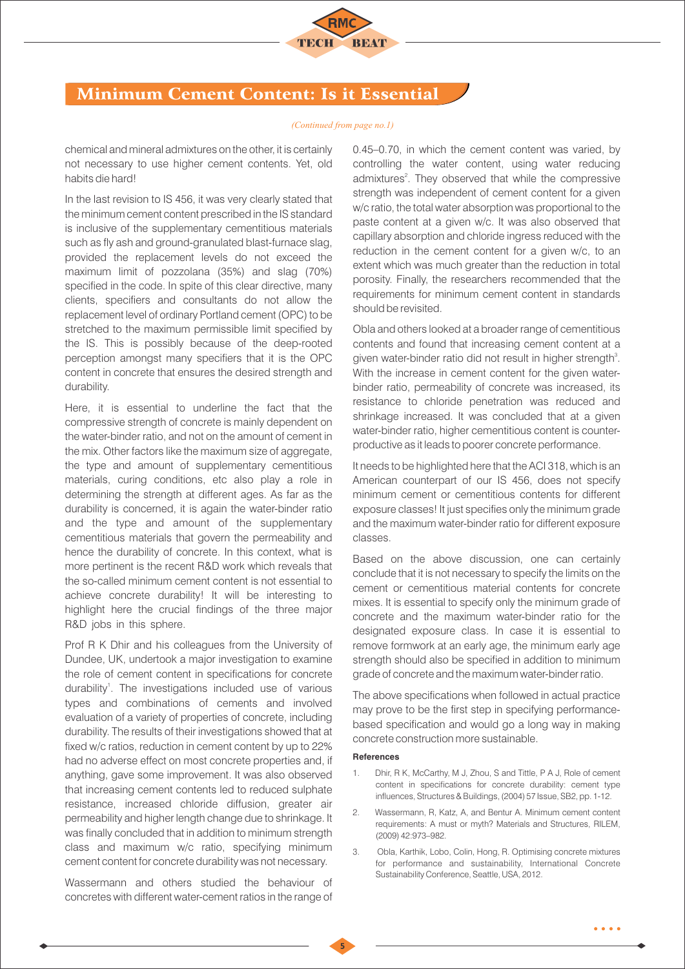

## Minimum Cement Content: Is it Essential

#### *(Continued from page no.1)*

chemical and mineral admixtures on the other, it is certainly not necessary to use higher cement contents. Yet, old habits die hard!

In the last revision to IS 456, it was very clearly stated that the minimum cement content prescribed in the IS standard is inclusive of the supplementary cementitious materials such as fly ash and ground-granulated blast-furnace slag, provided the replacement levels do not exceed the maximum limit of pozzolana (35%) and slag (70%) specified in the code. In spite of this clear directive, many clients, specifiers and consultants do not allow the replacement level of ordinary Portland cement (OPC) to be stretched to the maximum permissible limit specified by the IS. This is possibly because of the deep-rooted perception amongst many specifiers that it is the OPC content in concrete that ensures the desired strength and durability.

Here, it is essential to underline the fact that the compressive strength of concrete is mainly dependent on the water-binder ratio, and not on the amount of cement in the mix. Other factors like the maximum size of aggregate, the type and amount of supplementary cementitious materials, curing conditions, etc also play a role in determining the strength at different ages. As far as the durability is concerned, it is again the water-binder ratio and the type and amount of the supplementary cementitious materials that govern the permeability and hence the durability of concrete. In this context, what is more pertinent is the recent R&D work which reveals that the so-called minimum cement content is not essential to achieve concrete durability! It will be interesting to highlight here the crucial findings of the three major R&D jobs in this sphere.

Prof R K Dhir and his colleagues from the University of Dundee, UK, undertook a major investigation to examine the role of cement content in specifications for concrete durability<sup>1</sup>. The investigations included use of various types and combinations of cements and involved evaluation of a variety of properties of concrete, including durability. The results of their investigations showed that at fixed w/c ratios, reduction in cement content by up to 22% had no adverse effect on most concrete properties and, if anything, gave some improvement. It was also observed that increasing cement contents led to reduced sulphate resistance, increased chloride diffusion, greater air permeability and higher length change due to shrinkage. It was finally concluded that in addition to minimum strength class and maximum w/c ratio, specifying minimum cement content for concrete durability was not necessary.

Wassermann and others studied the behaviour of concretes with different water-cement ratios in the range of 0.45–0.70, in which the cement content was varied, by controlling the water content, using water reducing admixtures<sup>2</sup>. They observed that while the compressive strength was independent of cement content for a given w/c ratio, the total water absorption was proportional to the paste content at a given w/c. It was also observed that capillary absorption and chloride ingress reduced with the reduction in the cement content for a given w/c, to an extent which was much greater than the reduction in total porosity. Finally, the researchers recommended that the requirements for minimum cement content in standards should be revisited.

Obla and others looked at a broader range of cementitious contents and found that increasing cement content at a given water-binder ratio did not result in higher strength<sup>3</sup>. With the increase in cement content for the given waterbinder ratio, permeability of concrete was increased, its resistance to chloride penetration was reduced and shrinkage increased. It was concluded that at a given water-binder ratio, higher cementitious content is counterproductive as it leads to poorer concrete performance.

It needs to be highlighted here that the ACI 318, which is an American counterpart of our IS 456, does not specify minimum cement or cementitious contents for different exposure classes! It just specifies only the minimum grade and the maximum water-binder ratio for different exposure classes.

Based on the above discussion, one can certainly conclude that it is not necessary to specify the limits on the cement or cementitious material contents for concrete mixes. It is essential to specify only the minimum grade of concrete and the maximum water-binder ratio for the designated exposure class. In case it is essential to remove formwork at an early age, the minimum early age strength should also be specified in addition to minimum grade of concrete and the maximum water-binder ratio.

The above specifications when followed in actual practice may prove to be the first step in specifying performancebased specification and would go a long way in making concrete construction more sustainable.

#### **References**

- 1. Dhir, R K, McCarthy, M J, Zhou, S and Tittle, P A J, Role of cement content in specifications for concrete durability: cement type influences, Structures & Buildings, (2004) 57 Issue, SB2, pp. 1-12.
- 2. Wassermann, R, Katz, A, and Bentur A. Minimum cement content requirements: A must or myth? Materials and Structures, RILEM, (2009) 42:973–982.
- 3. Obla, Karthik, Lobo, Colin, Hong, R. Optimising concrete mixtures for performance and sustainability, International Concrete Sustainability Conference, Seattle, USA, 2012.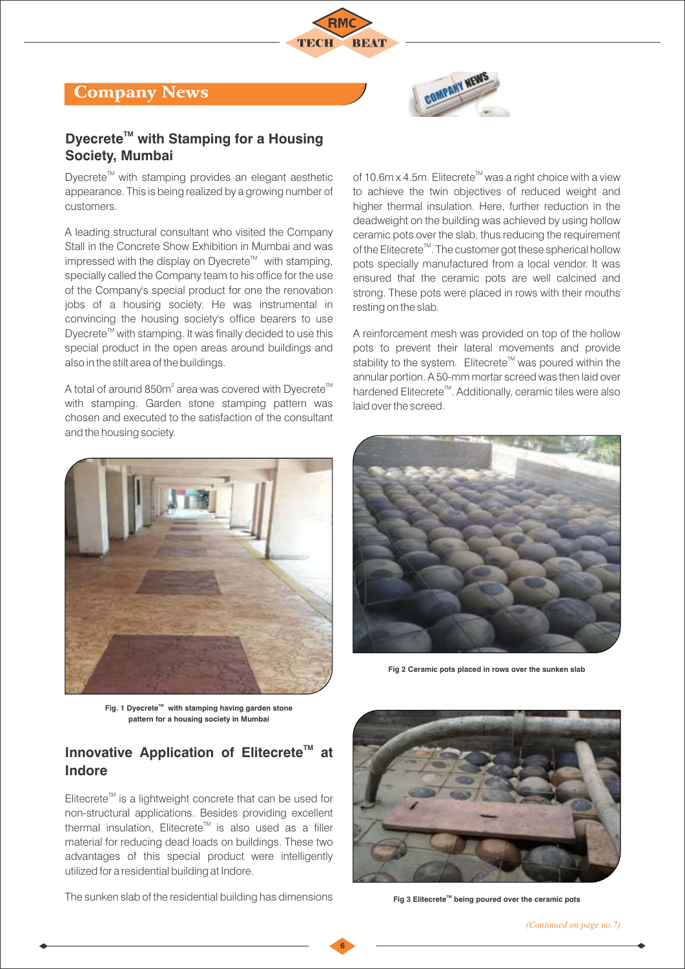





### **Dyecrete<sup>™</sup> with Stamping for a Housing Society, Mumbai**

Dyecrete<sup>™</sup> with stamping provides an elegant aesthetic appearance. This is being realized by a growing number of customers.

A leading structural consultant who visited the Company Stall in the Concrete Show Exhibition in Mumbai and was impressed with the display on Dyecrete<sup> $M$ </sup> with stamping, specially called the Company team to his office for the use of the Company's special product for one the renovation jobs of a housing society. He was instrumental in convincing the housing society's office bearers to use Dyecrete<sup>™</sup> with stamping. It was finally decided to use this special product in the open areas around buildings and also in the stilt area of the buildings.

criosen and executed to the sai<br>and the housing society. A total of around 850 $m^2$  area was covered with Dyecrete<sup>TM</sup> with stamping. Garden stone stamping pattern was chosen and executed to the satisfaction of the consultant



Fig. 1 Dyecrete<sup>™</sup> with stamping having garden stone **pattern for a housing society in Mumbai**

## **Innovative Application of Elitecrete<sup>™</sup> at Indore**

 $E$ litecrete<sup>™</sup> is a lightweight concrete that can be used for non-structural applications. Besides providing excellent thermal insulation, Elitecrete<sup> $M$ </sup> is also used as a filler material for reducing dead loads on buildings. These two advantages of this special product were intelligently utilized for a residential building at Indore.

The sunken slab of the residential building has dimensions

**6**

of 10.6m x 4.5m. Elitecrete<sup>™</sup> was a right choice with a view to achieve the twin objectives of reduced weight and higher thermal insulation. Here, further reduction in the deadweight on the building was achieved by using hollow ceramic pots over the slab, thus reducing the requirement of the Elitecrete<sup> $m$ </sup>. The customer got these spherical hollow pots specially manufactured from a local vendor. It was ensured that the ceramic pots are well calcined and strong. These pots were placed in rows with their mouths resting on the slab.

A reinforcement mesh was provided on top of the hollow pots to prevent their lateral movements and provide stability to the system. Elitecrete<sup>™</sup> was poured within the annular portion. A 50-mm mortar screed was then laid over hardened Elitecrete<sup>™</sup>. Additionally, ceramic tiles were also laid over the screed.



**Fig 2 Ceramic pots placed in rows over the sunken slab**



**Fig 3 Elitecrete™ being poured over the ceramic pots**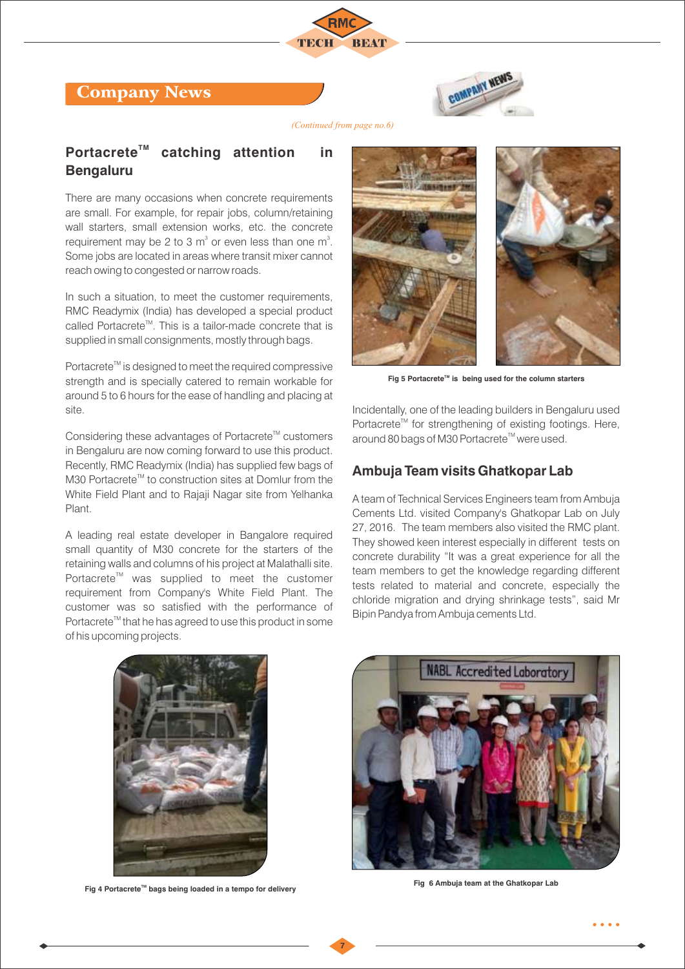## Company News



*(Continued from page no.6)*

## **Portacrete<sup>™</sup> catching attention in Bengaluru**

There are many occasions when concrete requirements are small. For example, for repair jobs, column/retaining wall starters, small extension works, etc. the concrete requirement may be 2 to 3  $m^3$  or even less than one  $m^3$ . Some jobs are located in areas where transit mixer cannot reach owing to congested or narrow roads.

In such a situation, to meet the customer requirements, RMC Readymix (India) has developed a special product called Portacrete<sup>™</sup>. This is a tailor-made concrete that is supplied in small consignments, mostly through bags.

Portacrete<sup>™</sup> is designed to meet the required compressive strength and is specially catered to remain workable for around 5 to 6 hours for the ease of handling and placing at site.

Considering these advantages of Portacrete<sup>™</sup> customers in Bengaluru are now coming forward to use this product. Recently, RMC Readymix (India) has supplied few bags of M30 Portacrete<sup>™</sup> to construction sites at Domlur from the White Field Plant and to Rajaji Nagar site from Yelhanka Plant.

A leading real estate developer in Bangalore required small quantity of M30 concrete for the starters of the retaining walls and columns of his project at Malathalli site. Portacrete<sup>™</sup> was supplied to meet the customer requirement from Company's White Field Plant. The customer was so satisfied with the performance of Portacrete<sup>™</sup> that he has agreed to use this product in some of his upcoming projects.



Fig 5 Portacrete<sup>™</sup> is being used for the column starters

Incidentally, one of the leading builders in Bengaluru used Portacrete<sup>™</sup> for strengthening of existing footings. Here, around 80 bags of M30 Portacrete<sup>™</sup> were used.

#### **Ambuja Team visits Ghatkopar Lab**

A team of Technical Services Engineers team from Ambuja Cements Ltd. visited Company's Ghatkopar Lab on July 27, 2016. The team members also visited the RMC plant. They showed keen interest especially in different tests on concrete durability "It was a great experience for all the team members to get the knowledge regarding different tests related to material and concrete, especially the chloride migration and drying shrinkage tests", said Mr Bipin Pandya from Ambuja cements Ltd.



Fig 4 Portacrete<sup>™</sup> bags being loaded in a tempo for delivery **Fig 6 Ambuja team at the Ghatkopar Lab**